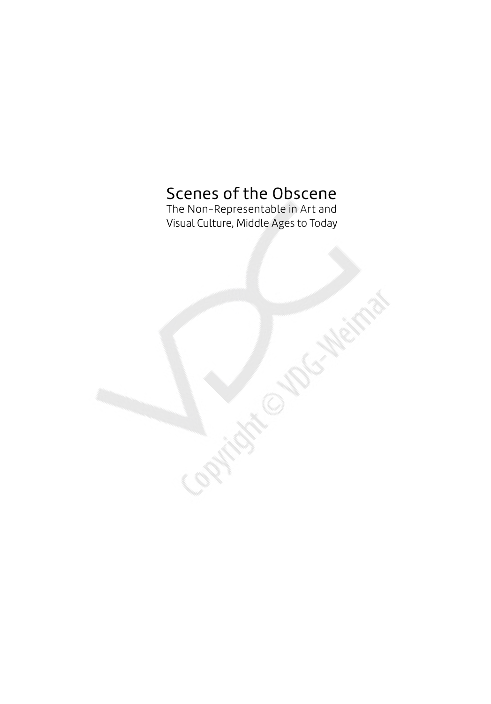# Scenes of the Obscene

The Non-Representable in Art and Visual Culture, Middle Ages to Today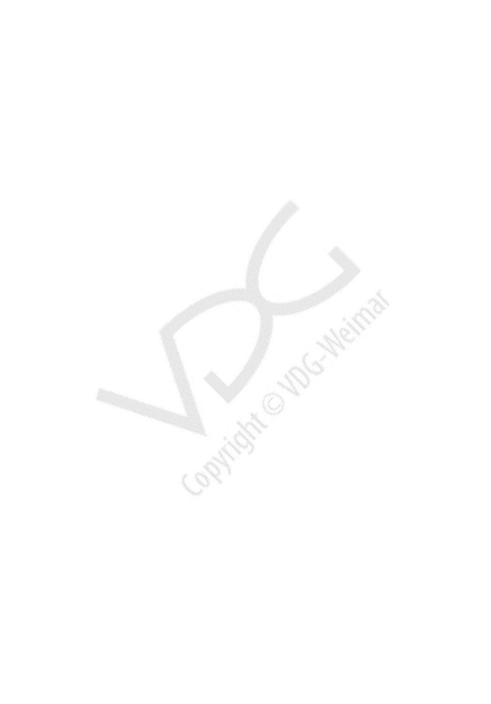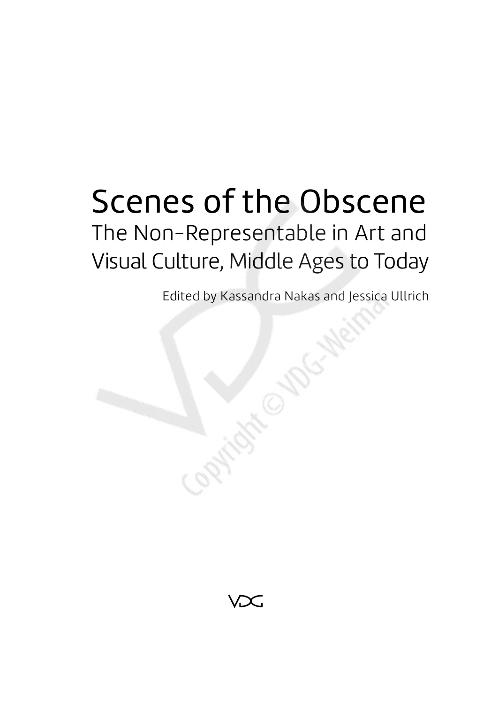# Scenes of the Obscene The Non-Representable in Art and Visual Culture, Middle Ages to Today

Edited by Kassandra Nakas and Jessica Ullrich

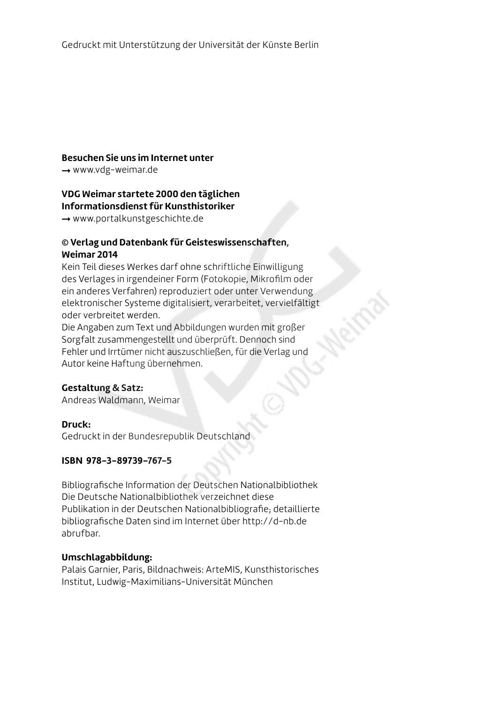#### **Besuchen Sie uns im Internet unter**

➞ www.vdg-weimar.de

#### **VDG Weimar startete 2000 den täglichen Informationsdienst für Kunsthistoriker**

➞ www.portalkunstgeschichte.de

#### **© Verlag und Datenbank für Geisteswissenschaften, Weimar 2014**

Kein Teil dieses Werkes darf ohne schriftliche Einwilligung des Verlages in irgendeiner Form (Fotokopie, Mikrofilm oder ein anderes Verfahren) reproduziert oder unter Verwendung elektronischer Systeme digitalisiert, verarbeitet, vervielfältigt oder verbreitet werden.

Die Angaben zum Text und Abbildungen wurden mit großer Sorgfalt zusammengestellt und überprüft. Dennoch sind Fehler und Irrtümer nicht auszuschließen, für die Verlag und Autor keine Haftung übernehmen.

#### **Gestaltung & Satz:**

Andreas Waldmann, Weimar

#### **Druck:**

Gedruckt in der Bundesrepublik Deutschland

#### **ISBN 978-3-89739-767-5**

Bibliografische Information der Deutschen Nationalbibliothek Die Deutsche Nationalbibliothek verzeichnet diese Publikation in der Deutschen Nationalbibliografie; detaillierte bibliografische Daten sind im Internet über http:/ /d-nb.de abrufbar.

#### **Umschlagabbildung:**

Palais Garnier, Paris, Bildnachweis: ArteMIS, Kunsthistorisches Institut, Ludwig-Maximilians-Universität München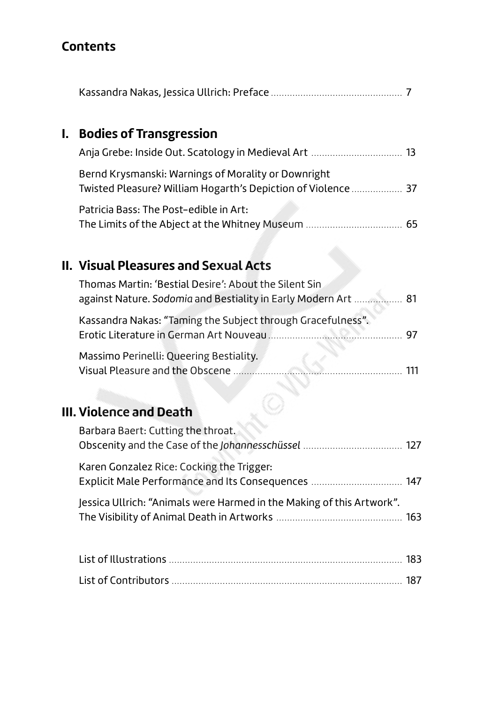### **Contents**

|--|--|

### **I. Bodies of Transgression**

| Bernd Krysmanski: Warnings of Morality or Downright<br>Twisted Pleasure? William Hogarth's Depiction of Violence  37 |  |
|----------------------------------------------------------------------------------------------------------------------|--|
|                                                                                                                      |  |

Patricia Bass: [The Post-edible in Art:](#page--1-0)  [The Limits of the Abject at the Whitney Museum](#page--1-0) .................................... 65

### **II. Visual Pleasures and Sexual Acts**

| Thomas Martin: 'Bestial Desire': About the Silent Sin          |  |
|----------------------------------------------------------------|--|
| against Nature. Sodomia and Bestiality in Early Modern Art  81 |  |
| Kassandra Nakas: "Taming the Subject through Gracefulness".    |  |
| Massimo Perinelli: Queering Bestiality.                        |  |

# **III. Violence and Death**

| Barbara Baert: Cutting the throat.                                    |  |
|-----------------------------------------------------------------------|--|
|                                                                       |  |
| Karen Gonzalez Rice: Cocking the Trigger:                             |  |
| Explicit Male Performance and Its Consequences  147                   |  |
| Jessica Ullrich: "Animals were Harmed in the Making of this Artwork". |  |
|                                                                       |  |
|                                                                       |  |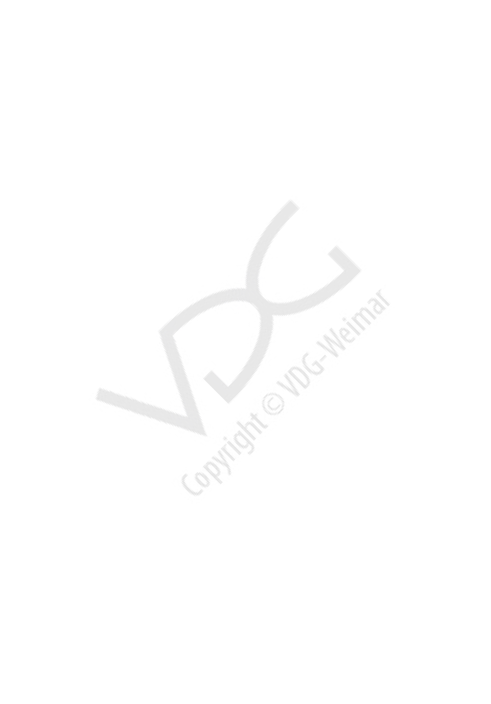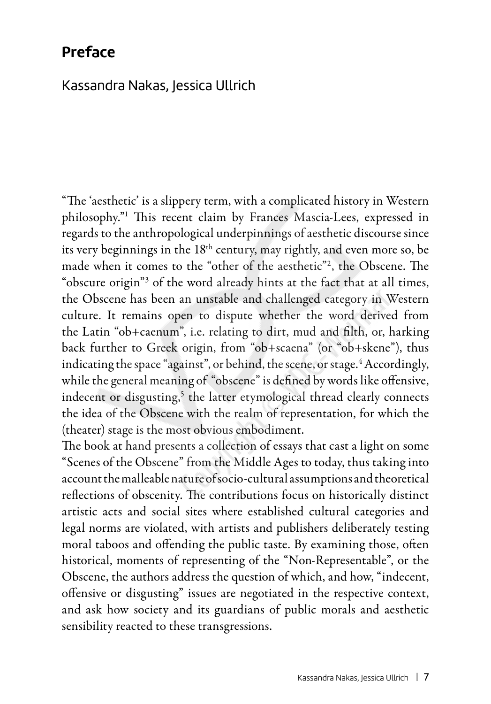### **Preface**

### Kassandra Nakas, Jessica Ullrich

"The 'aesthetic' is a slippery term, with a complicated history in Western philosophy."1 This recent claim by Frances Mascia-Lees, expressed in regards to the anthropological underpinnings of aesthetic discourse since its very beginnings in the 18<sup>th</sup> century, may rightly, and even more so, be made when it comes to the "other of the aesthetic"2 , the Obscene. The "obscure origin"3 of the word already hints at the fact that at all times, the Obscene has been an unstable and challenged category in Western culture. It remains open to dispute whether the word derived from the Latin "ob+caenum", i.e. relating to dirt, mud and filth, or, harking back further to Greek origin, from "ob+scaena" (or "ob+skene"), thus indicating the space "against", or behind, the scene, or stage.4 Accordingly, while the general meaning of "obscene" is defined by words like offensive, indecent or disgusting,<sup>5</sup> the latter etymological thread clearly connects the idea of the Obscene with the realm of representation, for which the (theater) stage is the most obvious embodiment.

The book at hand presents a collection of essays that cast a light on some "Scenes of the Obscene" from the Middle Ages to today, thus taking into account the malleable nature of socio-cultural assumptions and theoretical reflections of obscenity. The contributions focus on historically distinct artistic acts and social sites where established cultural categories and legal norms are violated, with artists and publishers deliberately testing moral taboos and offending the public taste. By examining those, often historical, moments of representing of the "Non-Representable", or the Obscene, the authors address the question of which, and how, "indecent, offensive or disgusting" issues are negotiated in the respective context, and ask how society and its guardians of public morals and aesthetic sensibility reacted to these transgressions.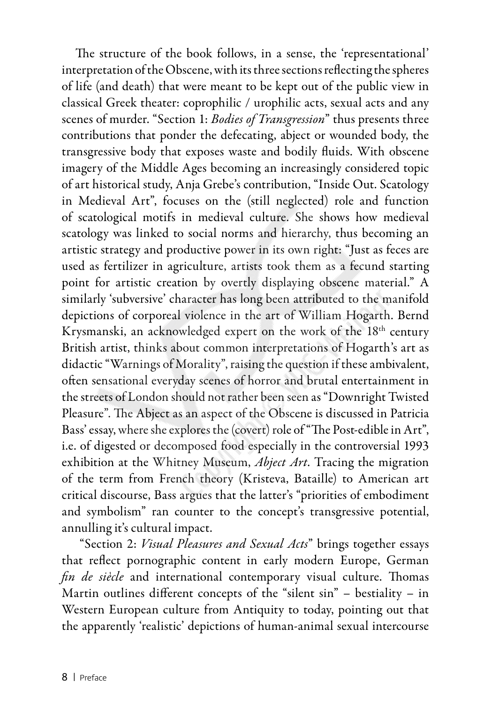The structure of the book follows, in a sense, the 'representational' interpretation of the Obscene, with its three sections reflecting the spheres of life (and death) that were meant to be kept out of the public view in classical Greek theater: coprophilic / urophilic acts, sexual acts and any scenes of murder. "Section 1: *Bodies of Transgression*" thus presents three contributions that ponder the defecating, abject or wounded body, the transgressive body that exposes waste and bodily fluids. With obscene imagery of the Middle Ages becoming an increasingly considered topic of art historical study, Anja Grebe's contribution, "Inside Out. Scatology in Medieval Art", focuses on the (still neglected) role and function of scatological motifs in medieval culture. She shows how medieval scatology was linked to social norms and hierarchy, thus becoming an artistic strategy and productive power in its own right: "Just as feces are used as fertilizer in agriculture, artists took them as a fecund starting point for artistic creation by overtly displaying obscene material." A similarly 'subversive' character has long been attributed to the manifold depictions of corporeal violence in the art of William Hogarth. Bernd Krysmanski, an acknowledged expert on the work of the 18<sup>th</sup> century British artist, thinks about common interpretations of Hogarth's art as didactic "Warnings of Morality", raising the question if these ambivalent, often sensational everyday scenes of horror and brutal entertainment in the streets of London should not rather been seen as "Downright Twisted Pleasure". The Abject as an aspect of the Obscene is discussed in Patricia Bass' essay, where she explores the (covert) role of "The Post-edible in Art", i.e. of digested or decomposed food especially in the controversial 1993 exhibition at the Whitney Museum, *Abject Art*. Tracing the migration of the term from French theory (Kristeva, Bataille) to American art critical discourse, Bass argues that the latter's "priorities of embodiment and symbolism" ran counter to the concept's transgressive potential, annulling it's cultural impact.

 "Section 2: *Visual Pleasures and Sexual Acts*" brings together essays that reflect pornographic content in early modern Europe, German *fin de siècle* and international contemporary visual culture. Thomas Martin outlines different concepts of the "silent sin" – bestiality – in Western European culture from Antiquity to today, pointing out that the apparently 'realistic' depictions of human-animal sexual intercourse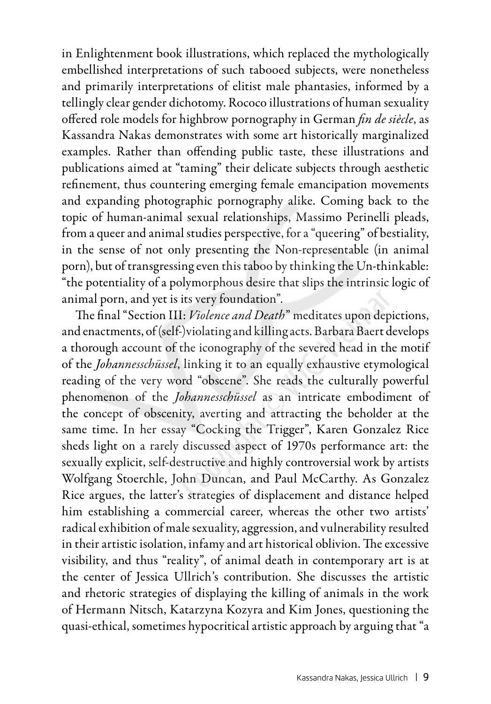in Enlightenment book illustrations, which replaced the mythologically embellished interpretations of such tabooed subjects, were nonetheless and primarily interpretations of elitist male phantasies, informed by a tellingly clear gender dichotomy. Rococo illustrations of human sexuality offered role models for highbrow pornography in German *fin de siècle*, as Kassandra Nakas demonstrates with some art historically marginalized examples. Rather than offending public taste, these illustrations and publications aimed at "taming" their delicate subjects through aesthetic refinement, thus countering emerging female emancipation movements and expanding photographic pornography alike. Coming back to the topic of human-animal sexual relationships, Massimo Perinelli pleads, from a queer and animal studies perspective, for a "queering" of bestiality, in the sense of not only presenting the Non-representable (in animal porn), but of transgressing even this taboo by thinking the Un-thinkable: "the potentiality of a polymorphous desire that slips the intrinsic logic of animal porn, and yet is its very foundation".

The final "Section III: *Violence and Death*" meditates upon depictions, and enactments, of (self-)violating and killing acts. Barbara Baert develops a thorough account of the iconography of the severed head in the motif of the *Johannesschüssel*, linking it to an equally exhaustive etymological reading of the very word "obscene". She reads the culturally powerful phenomenon of the *Johannesschüssel* as an intricate embodiment of the concept of obscenity, averting and attracting the beholder at the same time. In her essay "Cocking the Trigger", Karen Gonzalez Rice sheds light on a rarely discussed aspect of 1970s performance art: the sexually explicit, self-destructive and highly controversial work by artists Wolfgang Stoerchle, John Duncan, and Paul McCarthy. As Gonzalez Rice argues, the latter's strategies of displacement and distance helped him establishing a commercial career, whereas the other two artists' radical exhibition of male sexuality, aggression, and vulnerability resulted in their artistic isolation, infamy and art historical oblivion. The excessive visibility, and thus "reality", of animal death in contemporary art is at the center of Jessica Ullrich's contribution. She discusses the artistic and rhetoric strategies of displaying the killing of animals in the work of Hermann Nitsch, Katarzyna Kozyra and Kim Jones, questioning the quasi-ethical, sometimes hypocritical artistic approach by arguing that "a